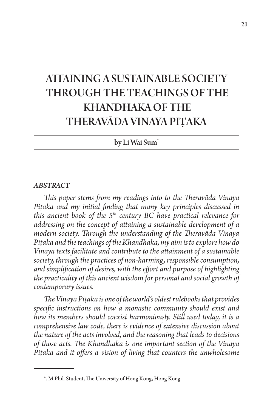# ATTAINING A SUSTAINABLE SOCIETY THROUGH THE TEACHINGS OF THE KHANDHAKA OF THE THERAVĀDA VINAYA PI**Ṭ**AKA

by Li Wai Sum\*

#### *ABSTRACT*

*This paper stems from my readings into to the Theravāda Vinaya Piṭaka and my initial finding that many key principles discussed in this ancient book of the 5th century BC have practical relevance for addressing on the concept of attaining a sustainable development of a modern society. Through the understanding of the Theravāda Vinaya Piṭaka and the teachings of the Khandhaka, my aim is to explore how do Vinaya texts facilitate and contribute to the attainment of a sustainable society, through the practices of non-harming, responsible consumption, and simplification of desires, with the effort and purpose of highlighting the practicality of this ancient wisdom for personal and social growth of contemporary issues.*

*The Vinaya Piṭaka is one of the world's oldest rulebooks that provides specific instructions on how a monastic community should exist and how its members should coexist harmoniously. Still used today, it is a comprehensive law code, there is evidence of extensive discussion about the nature of the acts involved, and the reasoning that leads to decisions of those acts. The Khandhaka is one important section of the Vinaya Piṭaka and it offers a vision of living that counters the unwholesome* 

<sup>\*.</sup> M.Phil. Student, The University of Hong Kong, Hong Kong.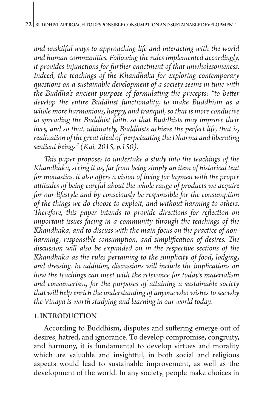*and unskilful ways to approaching life and interacting with the world and human communities. Following the rules implemented accordingly, it provides injunctions for further enactment of that unwholesomeness. Indeed, the teachings of the Khandhaka for exploring contemporary questions on a sustainable development of a society seems in tune with the Buddha's ancient purpose of formulating the precepts: "to better develop the entire Buddhist functionality, to make Buddhism as a whole more harmonious, happy, and tranquil, so that is more conducive to spreading the Buddhist faith, so that Buddhists may improve their lives, and so that, ultimately, Buddhists achieve the perfect life, that is, realization of the great ideal of 'perpetuating the Dharma and liberating sentient beings" (Kai, 2015, p.150).* 

*This paper proposes to undertake a study into the teachings of the Khandhaka, seeing it as, far from being simply an item of historical text for monastics, it also offers a vision of living for laymen with the proper attitudes of being careful about the whole range of products we acquire for our lifestyle and by consciously be responsible for the consumption of the things we do choose to exploit, and without harming to others. Therefore, this paper intends to provide directions for reflection on important issues facing in a community through the teachings of the Khandhaka, and to discuss with the main focus on the practice of nonharming, responsible consumption, and simplification of desires. The discussion will also be expanded on in the respective sections of the Khandhaka as the rules pertaining to the simplicity of food, lodging, and dressing. In addition, discussions will include the implications on how the teachings can meet with the relevance for today's materialism and consumerism, for the purposes of attaining a sustainable society that will help enrich the understanding of anyone who wishes to see why the Vinaya is worth studying and learning in our world today.* 

#### 1. INTRODUCTION

According to Buddhism, disputes and suffering emerge out of desires, hatred, and ignorance. To develop compromise, congruity, and harmony, it is fundamental to develop virtues and morality which are valuable and insightful, in both social and religious aspects would lead to sustainable improvement, as well as the development of the world. In any society, people make choices in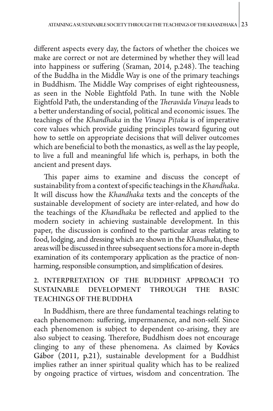different aspects every day, the factors of whether the choices we make are correct or not are determined by whether they will lead into happiness or suffering (Sraman, 2014, p.248). The teaching of the Buddha in the Middle Way is one of the primary teachings in Buddhism. The Middle Way comprises of eight righteousness, as seen in the Noble Eightfold Path. In tune with the Noble Eightfold Path, the understanding of the *Theravāda Vinaya* leads to a better understanding of social, political and economic issues. The teachings of the *Khandhaka* in the *Vinaya Piṭaka* is of imperative core values which provide guiding principles toward figuring out how to settle on appropriate decisions that will deliver outcomes which are beneficial to both the monastics, as well as the lay people, to live a full and meaningful life which is, perhaps, in both the ancient and present days.

This paper aims to examine and discuss the concept of sustainability from a context of specific teachings in the *Khandhaka*. It will discuss how the *Khandhaka* texts and the concepts of the sustainable development of society are inter-related, and how do the teachings of the *Khandhaka* be reflected and applied to the modern society in achieving sustainable development. In this paper, the discussion is confined to the particular areas relating to food, lodging, and dressing which are shown in the *Khandhaka*, these areas will be discussed in three subsequent sections for a more in-depth examination of its contemporary application as the practice of nonharming, responsible consumption, and simplification of desires.

## 2. INTERPRETATION OF THE BUDDHIST APPROACH TO SUSTAINABLE DEVELOPMENT THROUGH THE BASIC TEACHINGS OF THE BUDDHA

In Buddhism, there are three fundamental teachings relating to each phenomenon: suffering, impermanence, and non-self. Since each phenomenon is subject to dependent co-arising, they are also subject to ceasing. Therefore, Buddhism does not encourage clinging to any of these phenomena. As claimed by Kovács Gábor (2011, p.21), sustainable development for a Buddhist implies rather an inner spiritual quality which has to be realized by ongoing practice of virtues, wisdom and concentration. The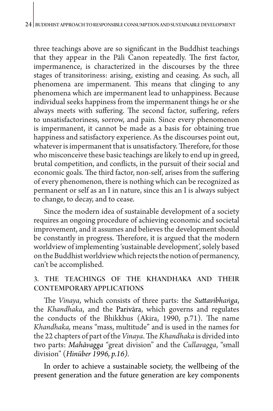three teachings above are so significant in the Buddhist teachings that they appear in the Pāli Canon repeatedly. The first factor, impermanence, is characterized in the discourses by the three stages of transitoriness: arising, existing and ceasing. As such, all phenomena are impermanent. This means that clinging to any phenomena which are impermanent lead to unhappiness. Because individual seeks happiness from the impermanent things he or she always meets with suffering. The second factor, suffering, refers to unsatisfactoriness, sorrow, and pain. Since every phenomenon is impermanent, it cannot be made as a basis for obtaining true happiness and satisfactory experience. As the discourses point out, whatever is impermanent that is unsatisfactory. Therefore, for those who misconceive these basic teachings are likely to end up in greed, brutal competition, and conflicts, in the pursuit of their social and economic goals. The third factor, non-self, arises from the suffering of every phenomenon, there is nothing which can be recognized as permanent or self as an I in nature, since this an I is always subject to change, to decay, and to cease.

Since the modern idea of sustainable development of a society requires an ongoing procedure of achieving economic and societal improvement, and it assumes and believes the development should be constantly in progress. Therefore, it is argued that the modern worldview of implementing 'sustainable development', solely based on the Buddhist worldview which rejects the notion of permanency, can't be accomplished.

### 3. THE TEACHINGS OF THE KHANDHAKA AND THEIR CONTEMPORARY APPLICATIONS

The *Vinaya*, which consists of three parts: the *Suttavibhaṅga*, the *Khandhaka*, and the Parivāra, which governs and regulates the conducts of the Bhikkhus (Akira, 1990, p.71). The name *Khandhaka,* means "mass, multitude" and is used in the names for the 22 chapters of part of the *Vinaya*. The *Khandhaka* is divided into two parts: *Mahāvagga* "great division" and the *Cullavagga*, "small division" (*Hinüber 1996, p.16).*

In order to achieve a sustainable society, the wellbeing of the present generation and the future generation are key components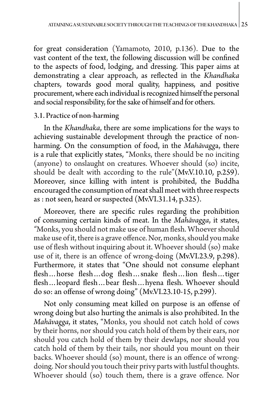for great consideration (Yamamoto, 2010, p.136). Due to the vast content of the text, the following discussion will be confined to the aspects of food, lodging, and dressing. This paper aims at demonstrating a clear approach, as reflected in the *Khandhaka*  chapters, towards good moral quality, happiness, and positive procurement, where each individual is recognized himself the personal and social responsibility, for the sake of himself and for others.

#### 3.1. Practice of non-harming

In the *Khandhaka*, there are some implications for the ways to achieving sustainable development through the practice of nonharming. On the consumption of food, in the *Mahāvagg*a, there is a rule that explicitly states, "Monks, there should be no inciting (anyone) to onslaught on creatures. Whoever should (so) incite, should be dealt with according to the rule"(Mv.V.10.10, p.259). Moreover, since killing with intent is prohibited, the Buddha encouraged the consumption of meat shall meet with three respects as : not seen, heard or suspected (Mv.VI.31.14, p.325).

Moreover, there are specific rules regarding the prohibition of consuming certain kinds of meat. In the *Mahāvagga*, it states, *"*Monks, you should not make use of human flesh. Whoever should make use of it, there is a grave offence. Nor, monks, should you make use of flesh without inquiring about it. Whoever should (so) make use of it, there is an offence of wrong-doing (Mv.VI.23.9, p.298). Furthermore, it states that "One should not consume elephant flesh…horse flesh…dog flesh…snake flesh…lion flesh…tiger flesh…leopard flesh…bear flesh…hyena flesh. Whoever should do so: an offense of wrong doing" (Mv.VI.23.10-15, p.299).

Not only consuming meat killed on purpose is an offense of wrong doing but also hurting the animals is also prohibited. In the *Mahāvagga*, it states, "Monks, you should not catch hold of cows by their horns, nor should you catch hold of them by their ears, nor should you catch hold of them by their dewlaps, nor should you catch hold of them by their tails, nor should you mount on their backs. Whoever should (so) mount, there is an offence of wrongdoing. Nor should you touch their privy parts with lustful thoughts. Whoever should (so) touch them, there is a grave offence. Nor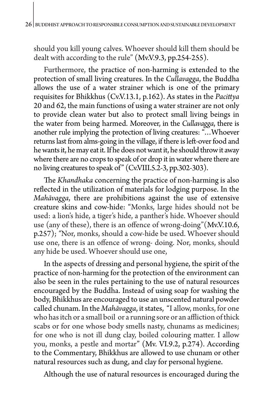should you kill young calves. Whoever should kill them should be dealt with according to the rule" (Mv.V.9.3, pp.254-255).

Furthermore, the practice of non-harming is extended to the protection of small living creatures. In the *Cullavagga*, the Buddha allows the use of a water strainer which is one of the primary requisites for Bhikkhus (Cv.V.13.1, p.162). As states in the *Pacittya*  20 and 62, the main functions of using a water strainer are not only to provide clean water but also to protect small living beings in the water from being harmed. Moreover, in the *Cullavagga*, there is another rule implying the protection of living creatures: "…Whoever returns last from alms-going in the village, if there is left-over food and he wants it, he may eat it. If he does not want it, he should throw it away where there are no crops to speak of or drop it in water where there are no living creatures to speak of" (Cv.VIII.5.2-3, pp.302-303).

The *Khandhaka* concerning the practice of non-harming is also reflected in the utilization of materials for lodging purpose. In the *Mahāvagga*, there are prohibitions against the use of extensive creature skins and cow-hide: "Monks, large hides should not be used: a lion's hide, a tiger's hide, a panther's hide. Whoever should use (any of these), there is an offence of wrong-doing"(Mv.V.10.6, p.257); *"*Nor, monks, should a cow-hide be used. Whoever should use one, there is an offence of wrong- doing. Nor, monks, should any hide be used. Whoever should use one,

In the aspects of dressing and personal hygiene, the spirit of the practice of non-harming for the protection of the environment can also be seen in the rules pertaining to the use of natural resources encouraged by the Buddha. Instead of using soap for washing the body, Bhikkhus are encouraged to use an unscented natural powder called chunam. In the *Mahāvagga*, it states, "I allow, monks, for one who has itch or a small boil or a running sore or an affliction of thick scabs or for one whose body smells nasty, chunams as medicines; for one who is not ill dung clay, boiled colouring matter. I allow you, monks, a pestle and mortar" (Mv. VI.9.2, p.274). According to the Commentary, Bhikkhus are allowed to use chunam or other natural resources such as dung, and clay for personal hygiene.

Although the use of natural resources is encouraged during the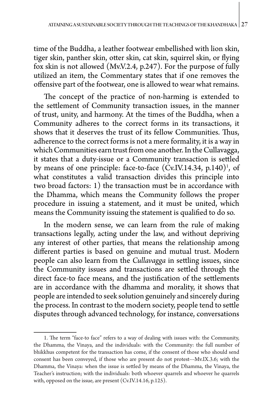time of the Buddha, a leather footwear embellished with lion skin, tiger skin, panther skin, otter skin, cat skin, squirrel skin, or flying fox skin is not allowed (Mv.V.2.4, p.247). For the purpose of fully utilized an item, the Commentary states that if one removes the offensive part of the footwear, one is allowed to wear what remains.

The concept of the practice of non-harming is extended to the settlement of Community transaction issues, in the manner of trust, unity, and harmony. At the times of the Buddha, when a Community adheres to the correct forms in its transactions, it shows that it deserves the trust of its fellow Communities. Thus, adherence to the correct forms is not a mere formality, it is a way in which Communities earn trust from one another. In the Cullavagga, it states that a duty-issue or a Community transaction is settled by means of one principle: face-to-face  $(Cv.IV.14.34, p.140)^1$ , of what constitutes a valid transaction divides this principle into two broad factors: 1) the transaction must be in accordance with the Dhamma, which means the Community follows the proper procedure in issuing a statement, and it must be united, which means the Community issuing the statement is qualified to do so.

In the modern sense, we can learn from the rule of making transactions legally, acting under the law, and without depriving any interest of other parties, that means the relationship among different parties is based on genuine and mutual trust. Modern people can also learn from the *Cullavagga* in settling issues, since the Community issues and transactions are settled through the direct face-to face means, and the justification of the settlements are in accordance with the dhamma and morality, it shows that people are intended to seek solution genuinely and sincerely during the process. In contrast to the modern society, people tend to settle disputes through advanced technology, for instance, conversations

<sup>1.</sup> The term "face-to face" refers to a way of dealing with issues with: the Community, the Dhamma, the Vinaya, and the individuals: with the Community: the full number of bhikkhus competent for the transaction has come, if the consent of those who should send consent has been conveyed, if those who are present do not protest---Mv.IX.3.6; with the Dhamma, the Vinaya: when the issue is settled by means of the Dhamma, the Vinaya, the Teacher's instruction; with the individuals: both whoever quarrels and whoever he quarrels with, opposed on the issue, are present (Cv.IV.14.16, p.125).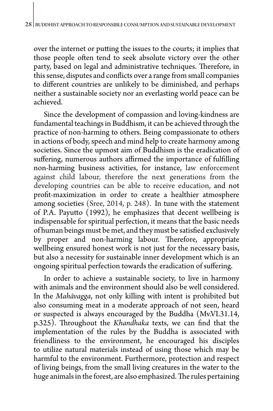over the internet or putting the issues to the courts; it implies that those people often tend to seek absolute victory over the other party, based on legal and administrative techniques. Therefore, in this sense, disputes and conflicts over a range from small companies to different countries are unlikely to be diminished, and perhaps neither a sustainable society nor an everlasting world peace can be achieved.

Since the development of compassion and loving-kindness are fundamental teachings in Buddhism, it can be achieved through the practice of non-harming to others. Being compassionate to others in actions of body, speech and mind help to create harmony among societies. Since the upmost aim of Buddhism is the eradication of suffering, numerous authors affirmed the importance of fulfilling non-harming business activities, for instance, law enforcement against child labour, therefore the next generations from the developing countries can be able to receive education, and not profit-maximization in order to create a healthier atmosphere among societies (Sree, 2014, p. 248). In tune with the statement of P.A. Payutto (1992), he emphasizes that decent wellbeing is indispensable for spiritual perfection, it means that the basic needs of human beings must be met, and they must be satisfied exclusively by proper and non-harming labour. Therefore, appropriate wellbeing ensured honest work is not just for the necessary basis, but also a necessity for sustainable inner development which is an ongoing spiritual perfection towards the eradication of suffering.

In order to achieve a sustainable society, to live in harmony with animals and the environment should also be well considered. In the *Mahāvagga*, not only killing with intent is prohibited but also consuming meat in a moderate approach of not seen, heard or suspected is always encouraged by the Buddha (Mv.VI.31.14, p.325). Throughout the *Khandhaka* texts, we can find that the implementation of the rules by the Buddha is associated with friendliness to the environment, he encouraged his disciples to utilize natural materials instead of using those which may be harmful to the environment. Furthermore, protection and respect of living beings, from the small living creatures in the water to the huge animals in the forest, are also emphasized. The rules pertaining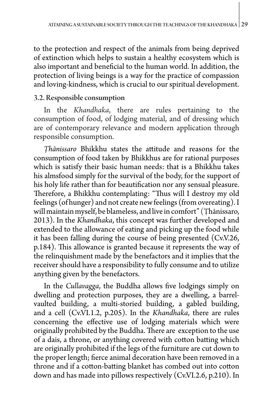to the protection and respect of the animals from being deprived of extinction which helps to sustain a healthy ecosystem which is also important and beneficial to the human world. In addition, the protection of living beings is a way for the practice of compassion and loving-kindness, which is crucial to our spiritual development.

#### 3.2. Responsible consumption

In the *Khandhaka*, there are rules pertaining to the consumption of food, of lodging material, and of dressing which are of contemporary relevance and modern application through responsible consumption.

*Ṭhānissaro* Bhikkhu states the attitude and reasons for the consumption of food taken by Bhikkhus are for rational purposes which is satisfy their basic human needs: that is a Bhikkhu takes his almsfood simply for the survival of the body, for the support of his holy life rather than for beautification nor any sensual pleasure. Therefore, a Bhikkhu contemplating: "Thus will I destroy my old feelings (of hunger) and not create new feelings (from overeating). I will maintain myself, be blameless, and live in comfort" (Ṭhānissaro, 2013). In the *Khandhaka*, this concept was further developed and extended to the allowance of eating and picking up the food while it has been falling during the course of being presented (Cv.V.26, p.184). This allowance is granted because it represents the way of the relinquishment made by the benefactors and it implies that the receiver should have a responsibility to fully consume and to utilize anything given by the benefactors.

In the *Cullavagga*, the Buddha allows five lodgings simply on dwelling and protection purposes, they are a dwelling, a barrelvaulted building, a multi-storied building, a gabled building, and a cell (Cv.VI.1.2, p.205). In the *Khandhaka*, there are rules concerning the effective use of lodging materials which were originally prohibited by the Buddha. There are exception to the use of a dais, a throne, or anything covered with cotton batting which are originally prohibited if the legs of the furniture are cut down to the proper length; fierce animal decoration have been removed in a throne and if a cotton-batting blanket has combed out into cotton down and has made into pillows respectively (Cv.VI.2.6, p.210). In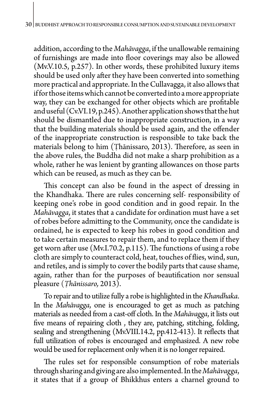addition, according to the *Mahāvagga*, if the unallowable remaining of furnishings are made into floor coverings may also be allowed (Mv.V.10.5, p.257). In other words, these prohibited luxury items should be used only after they have been converted into something more practical and appropriate. In the Cullavagga, it also allows that if for those items which cannot be converted into a more appropriate way, they can be exchanged for other objects which are profitable and useful (Cv.VI.19, p.245). Another application shows that the hut should be dismantled due to inappropriate construction, in a way that the building materials should be used again, and the offender of the inappropriate construction is responsible to take back the materials belong to him (Ṭhānissaro, 2013). Therefore, as seen in the above rules, the Buddha did not make a sharp prohibition as a whole, rather he was lenient by granting allowances on those parts which can be reused, as much as they can be.

This concept can also be found in the aspect of dressing in the Khandhaka. There are rules concerning self- responsibility of keeping one's robe in good condition and in good repair. In the *Mahāvagga*, it states that a candidate for ordination must have a set of robes before admitting to the Community, once the candidate is ordained, he is expected to keep his robes in good condition and to take certain measures to repair them, and to replace them if they get worn after use (Mv.I.70.2, p.115). The functions of using a robe cloth are simply to counteract cold, heat, touches of flies, wind, sun, and retiles, and is simply to cover the bodily parts that cause shame, again, rather than for the purposes of beautification nor sensual pleasure (*Ṭhānissaro,* 2013).

To repair and to utilize fully a robe is highlighted in the *Khandhaka*. In the *Mahāvagga*, one is encouraged to get as much as patching materials as needed from a cast-off cloth. In the *Mahāvagga*, it lists out five means of repairing cloth , they are, patching, stitching, folding, sealing and strengthening (Mv.VIII.14.2, pp.412-413). It reflects that full utilization of robes is encouraged and emphasized. A new robe would be used for replacement only when it is no longer repaired.

The rules set for responsible consumption of robe materials through sharing and giving are also implemented. In the *Mahāvagga*, it states that if a group of Bhikkhus enters a charnel ground to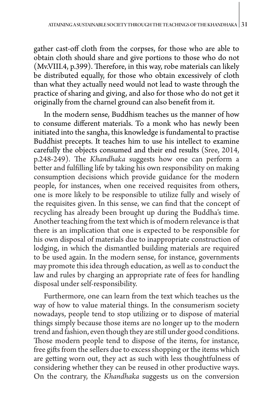gather cast-off cloth from the corpses, for those who are able to obtain cloth should share and give portions to those who do not (Mv.VIII.4, p.399). Therefore, in this way, robe materials can likely be distributed equally, for those who obtain excessively of cloth than what they actually need would not lead to waste through the practice of sharing and giving, and also for those who do not get it originally from the charnel ground can also benefit from it.

In the modern sense, Buddhism teaches us the manner of how to consume different materials. To a monk who has newly been initiated into the sangha, this knowledge is fundamental to practise Buddhist precepts. It teaches him to use his intellect to examine carefully the objects consumed and their end results (Sree, 2014, p.248-249). The *Khandhaka* suggests how one can perform a better and fulfilling life by taking his own responsibility on making consumption decisions which provide guidance for the modern people, for instances, when one received requisites from others, one is more likely to be responsible to utilize fully and wisely of the requisites given. In this sense, we can find that the concept of recycling has already been brought up during the Buddha's time. Another teaching from the text which is of modern relevance is that there is an implication that one is expected to be responsible for his own disposal of materials due to inappropriate construction of lodging, in which the dismantled building materials are required to be used again. In the modern sense, for instance, governments may promote this idea through education, as well as to conduct the law and rules by charging an appropriate rate of fees for handling disposal under self-responsibility.

Furthermore, one can learn from the text which teaches us the way of how to value material things. In the consumerism society nowadays, people tend to stop utilizing or to dispose of material things simply because those items are no longer up to the modern trend and fashion, even though they are still under good conditions. Those modern people tend to dispose of the items, for instance, free gifts from the sellers due to excess shopping or the items which are getting worn out, they act as such with less thoughtfulness of considering whether they can be reused in other productive ways. On the contrary, the *Khandhaka* suggests us on the conversion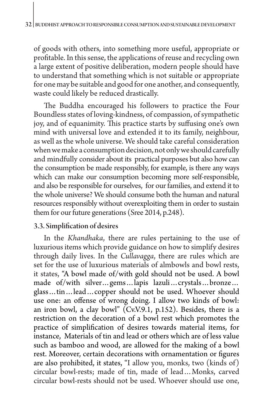of goods with others, into something more useful, appropriate or profitable. In this sense, the applications of reuse and recycling own a large extent of positive deliberation, modern people should have to understand that something which is not suitable or appropriate for one may be suitable and good for one another, and consequently, waste could likely be reduced drastically.

The Buddha encouraged his followers to practice the Four Boundless states of loving-kindness, of compassion, of sympathetic joy, and of equanimity. This practice starts by suffusing one's own mind with universal love and extended it to its family, neighbour, as well as the whole universe. We should take careful consideration when we make a consumption decision, not only we should carefully and mindfully consider about its practical purposes but also how can the consumption be made responsibly, for example, is there any ways which can make our consumption becoming more self-responsible, and also be responsible for ourselves, for our families, and extend it to the whole universe? We should consume both the human and natural resources responsibly without overexploiting them in order to sustain them for our future generations (Sree 2014, p.248).

#### 3.3. Simplification of desires

In the *Khandhaka*, there are rules pertaining to the use of luxurious items which provide guidance on how to simplify desires through daily lives. In the *Cullavagga*, there are rules which are set for the use of luxurious materials of almbowls and bowl rests, it states, "A bowl made of/with gold should not be used. A bowl made of/with silver…gems…lapis lazuli…crystals…bronze… glass…tin…lead…copper should not be used. Whoever should use one: an offense of wrong doing. I allow two kinds of bowl: an iron bowl, a clay bowl" ( $Cv.V.9.1$ , p.152). Besides, there is a restriction on the decoration of a bowl rest which promotes the practice of simplification of desires towards material items, for instance, Materials of tin and lead or others which are of less value such as bamboo and wood, are allowed for the making of a bowl rest. Moreover, certain decorations with ornamentation or figures are also prohibited, it states, "I allow you, monks, two (kinds of) circular bowl-rests; made of tin, made of lead…Monks, carved circular bowl-rests should not be used. Whoever should use one,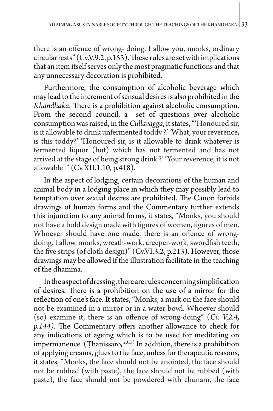there is an offence of wrong- doing. I allow you, monks, ordinary circular rests" (Cv.V.9.2, p.153).These rules are set with implications that an item itself serves only the most pragmatic functions and that any unnecessary decoration is prohibited.

Furthermore, the consumption of alcoholic beverage which may lead to the increment of sensual desires is also prohibited in the *Khandhaka*. There is a prohibition against alcoholic consumption. From the second council, a set of questions over alcoholic consumption was raised, in the *Cullavagga*, it states, "'Honoured sir, is it allowable to drink unfermented toddv ?' 'What, your reverence, is this toddy?' 'Honoured sir, is it allowable to drink whatever is fermented liquor (but) which has not fermented and has not arrived at the stage of being strong drink ?' 'Your reverence, it is not allowable' " (Cv.XII.1.10, p.418).

In the aspect of lodging, certain decorations of the human and animal body in a lodging place in which they may possibly lead to temptation over sexual desires are prohibited. The Canon forbids drawings of human forms and the Commentary further extends this injunction to any animal forms, it states, "Monks, you should not have a bold design made with figures of women, figures of men. Whoever should have one made, there is an offence of wrongdoing. I allow, monks, wreath-work, creeper-work, swordfish teeth, the five strips (of cloth design)" (Cv.VI.3.2, p.213). However, those drawings may be allowed if the illustration facilitate in the teaching of the dhamma.

In the aspect of dressing, there are rules concerning simplification of desires. There is a prohibition on the use of a mirror for the reflection of one's face. It states, "Monks, a mark on the face should not be examined in a mirror or in a water-bowl. Whoever should (so) examine it, there is an offence of wrong-doing" (*Cv. V.2.4, p.144).* The Commentary offers another allowance to check for any indications of ageing which is to be used for meditating on impermanence. (Ṭhānissaro, 2013) In addition, there is a prohibition of applying creams, glues to the face, unless for therapeutic reasons, it states, "Monks, the face should not be anointed, the face should not be rubbed (with paste), the face should not be rubbed (with paste), the face should not be powdered with chunam, the face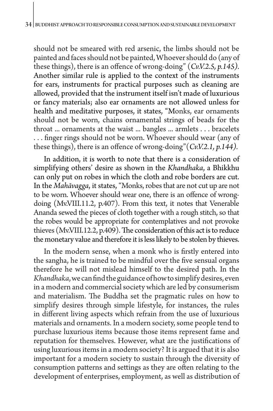should not be smeared with red arsenic, the limbs should not be painted and faces should not be painted, Whoever should do (any of these things), there is an offence of wrong-doing" (*Cv.V.2.5, p.145).* Another similar rule is applied to the context of the instruments for ears, instruments for practical purposes such as cleaning are allowed, provided that the instrument itself isn't made of luxurious or fancy materials; also ear ornaments are not allowed unless for health and meditative purposes, it states, "Monks, ear ornaments should not be worn, chains ornamental strings of beads for the throat ... ornaments at the waist ... bangles ... armlets . . . bracelets . . . finger rings should not be worn. Whoever should wear (any of these things), there is an offence of wrong-doing"(*Cv.V.2.1, p.144).*

In addition, it is worth to note that there is a consideration of simplifying others' desire as shown in the *Khandhaka*, a Bhikkhu can only put on robes in which the cloth and robe borders are cut. In the *Mahāvagga*, it states, "Monks, robes that are not cut up are not to be worn. Whoever should wear one, there is an offence of wrongdoing (Mv.VIII.11.2, p.407). From this text, it notes that Venerable Ananda sewed the pieces of cloth together with a rough stitch, so that the robes would be appropriate for contemplatives and not provoke thieves (Mv.VIII.12.2, p.409). The consideration of this act is to reduce the monetary value and therefore it is less likely to be stolen by thieves.

In the modern sense, when a monk who is firstly entered into the sangha, he is trained to be mindful over the five sensual organs therefore he will not mislead himself to the desired path. In the *Khandhaka*, we can find the guidance of how to simplify desires, even in a modern and commercial society which are led by consumerism and materialism. The Buddha set the pragmatic rules on how to simplify desires through simple lifestyle, for instances, the rules in different living aspects which refrain from the use of luxurious materials and ornaments. In a modern society, some people tend to purchase luxurious items because those items represent fame and reputation for themselves. However, what are the justifications of using luxurious items in a modern society? It is argued that it is also important for a modern society to sustain through the diversity of consumption patterns and settings as they are often relating to the development of enterprises, employment, as well as distribution of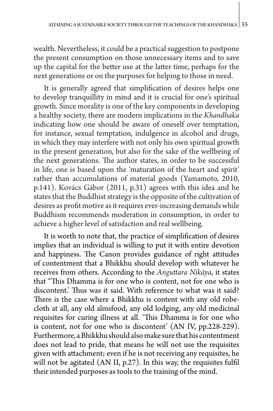wealth. Nevertheless, it could be a practical suggestion to postpone the present consumption on those unnecessary items and to save up the capital for the better use at the latter time, perhaps for the next generations or on the purposes for helping to those in need.

It is generally agreed that simplification of desires helps one to develop tranquillity in mind and it is crucial for one's spiritual growth. Since morality is one of the key components in developing a healthy society, there are modern implications in the *Khandhaka* indicating how one should be aware of oneself over temptation, for instance, sexual temptation, indulgence in alcohol and drugs, in which they may interfere with not only his own spiritual growth in the present generation, but also for the sake of the wellbeing of the next generations. The author states, in order to be successful in life, one is based upon the 'maturation of the heart and spirit' rather than accumulations of material goods (Yamamoto, 2010, p.141). Kovács Gábor (2011, p.31) agrees with this idea and he states that the Buddhist strategy is the opposite of the cultivation of desires as profit motive as it requires ever-increasing demands while Buddhism recommends moderation in consumption, in order to achieve a higher level of satisfaction and real wellbeing.

It is worth to note that, the practice of simplification of desires implies that an individual is willing to put it with entire devotion and happiness. The Canon provides guidance of right attitudes of contentment that a Bhikkhu should develop with whatever he receives from others. According to the *Aṅguttara Nikāya*, it states that "This Dhamma is for one who is content, not for one who is discontent.' Thus was it said. With reference to what was it said? There is the case where a Bhikkhu is content with any old robecloth at all, any old almsfood, any old lodging, any old medicinal requisites for curing illness at all. 'This Dhamma is for one who is content, not for one who is discontent' (AN IV, pp.228-229). Furthermore, a Bhikkhu should also make sure that his contentment does not lead to pride, that means he will not use the requisites given with attachment; even if he is not receiving any requisites, he will not be agitated (AN II, p.27). In this way, the requisites fulfil their intended purposes as tools to the training of the mind.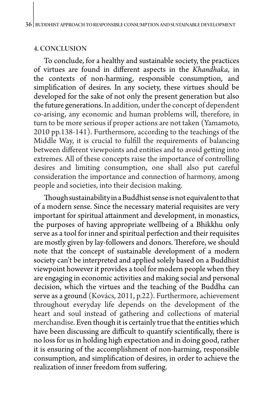#### 4. CONCLUSION

To conclude, for a healthy and sustainable society, the practices of virtues are found in different aspects in the *Khandhaka*, in the contexts of non-harming, responsible consumption, and simplification of desires. In any society, these virtues should be developed for the sake of not only the present generation but also the future generations. In addition, under the concept of dependent co-arising, any economic and human problems will, therefore, in turn to be more serious if proper actions are not taken (Yamamoto, 2010 pp.138-141). Furthermore, according to the teachings of the Middle Way, it is crucial to fulfill the requirements of balancing between different viewpoints and entities and to avoid getting into extremes. All of these concepts raise the importance of controlling desires and limiting consumption, one shall also put careful consideration the importance and connection of harmony, among people and societies, into their decision making.

Though sustainability in a Buddhist sense is not equivalent to that of a modern sense. Since the necessary material requisites are very important for spiritual attainment and development, in monastics, the purposes of having appropriate wellbeing of a Bhikkhu only serve as a tool for inner and spiritual perfection and their requisites are mostly given by lay-followers and donors. Therefore, we should note that the concept of sustainable development of a modern society can't be interpreted and applied solely based on a Buddhist viewpoint however it provides a tool for modern people when they are engaging in economic activities and making social and personal decision, which the virtues and the teaching of the Buddha can serve as a ground (Kovács, 2011, p.22). Furthermore, achievement throughout everyday life depends on the development of the heart and soul instead of gathering and collections of material merchandise. Even though it is certainly true that the entities which have been discussing are difficult to quantify scientifically, there is no loss for us in holding high expectation and in doing good, rather it is ensuring of the accomplishment of non-harming, responsible consumption, and simplification of desires, in order to achieve the realization of inner freedom from suffering.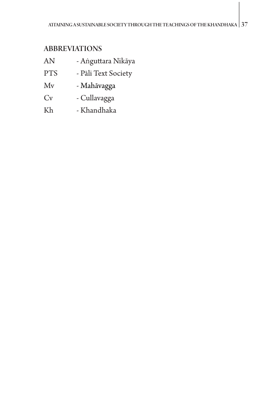## ABBREVIATIONS

- $AN$ ṅguttara Nikāya
- PTS Pāli Text Society
- Mv Mahāvagga
- Cv Cullavagga
- Kh Khandhaka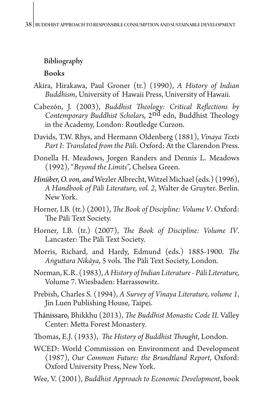## Bibliography Books

- Akira, Hirakawa, Paul Groner (tr.) (1990), *A History of Indian Buddhism*, University of Hawaii Press, University of Hawaii.
- Cabezón, J. (2003), *Buddhist Theology: Critical Reflections by Contemporary Buddhist Scholars,* 2nd edn, Buddhist Theology in the Academy, London: Routledge Curzon.
- Davids, T.W. Rhys, and Hermann Oldenberg (1881), *Vinaya Texts Part I: Translated from the Pāli*. Oxford: At the Clarendon Press.
- Donella H. Meadows, Jorgen Randers and Dennis L. Meadows (1992), "*Beyond the Limits*", Chelsea Green.
- *Hinüber,O. von, and* Wezler Albrecht, Witzel Michael (eds.) (1996), *A Handbook of Pāli Literature, vol. 2*, Walter de Gruyter. Berlin. New York.
- Horner, I.B. (tr.) (2001), *The Book of Discipline: Volume V*. Oxford: The Pāli Text Society.
- Horner, I.B. (tr.) (2007), *The Book of Discipline: Volume IV*. Lancaster: The Pāli Text Society.
- Morris, Richard, and Hardy, Edmund (eds.) 1885-1900. *The Aṅguttara Nikāya*, 5 vols. The Pāli Text Society, London.
- Norman, K.R. (1983), *A History of Indian Literature - Pāli Literature,*  Volume 7. Wiesbaden: Harrassowitz.
- Prebish, Charles S. (1994), *A Survey of Vinaya Literature, volume 1*, Jin Luen Publishing House, Taipei.
- Ṭhānissaro, Bhikkhu (2013), *The Buddhist Monastic Code II*. Valley Center: Metta Forest Monastery.
- Thomas, E.J. (1933), *The History of Buddhist Thought*, London.
- WCED: World Commission on Environment and Development (1987), *Our Common Future: the Brundtland Report*, Oxford: Oxford University Press, New York.
- Wee, V. (2001), *Buddhist Approach to Economic Development*, book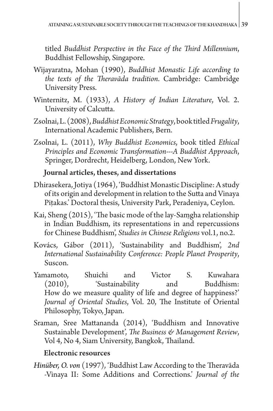titled *Buddhist Perspective in the Face of the Third Millennium*, Buddhist Fellowship, Singapore.

- Wijayaratna, Mohan (1990), *Buddhist Monastic Life according to the texts of the Theravāda tradition*. Cambridge: Cambridge University Press.
- Winternitz, M. (1933), *A History of Indian Literature*, Vol. 2. University of Calcutta.
- Zsolnai, L. (2008), *Buddhist Economic Strategy*, book titled *Frugality*, International Academic Publishers, Bern.
- Zsolnai, L. (2011), *Why Buddhist Economics*, book titled *Ethical Principles and Economic Transformation---A Buddhist Approach*, Springer, Dordrecht, Heidelberg, London, New York.

#### Journal articles, theses, and dissertations

- Dhirasekera, Jotiya (1964), 'Buddhist Monastic Discipline: A study of its origin and development in relation to the Sutta and Vinaya Pitakas.' Doctoral thesis, University Park, Peradeniya, Ceylon.
- Kai, Sheng (2015), 'The basic mode of the lay-Samgha relationship in Indian Buddhism, its representations in and repercussions for Chinese Buddhism', *Studies in Chinese Religions* vol.1, no.2.
- Kovács, Gábor (2011), 'Sustainability and Buddhism', *2nd International Sustainability Conference: People Planet Prosperity*, Suscon.
- Yamamoto, Shuichi and Victor S. Kuwahara (2010), 'Sustainability and Buddhism: How do we measure quality of life and degree of happiness?' *Journal of Oriental Studies*, Vol. 20, The Institute of Oriental Philosophy, Tokyo, Japan.
- Sraman, Sree Mattananda (2014), 'Buddhism and Innovative Sustainable Development', *The Business & Management Review*, Vol 4, No 4, Siam University, Bangkok, Thailand.

#### Electronic resources

*Hinüber, O. von* (1997), 'Buddhist Law According to the Theravāda -Vinaya II: Some Additions and Corrections.' *Journal of the*